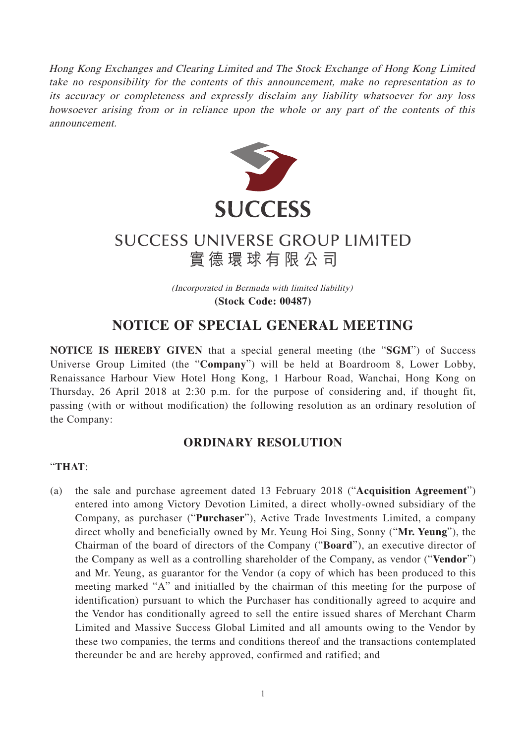Hong Kong Exchanges and Clearing Limited and The Stock Exchange of Hong Kong Limited take no responsibility for the contents of this announcement, make no representation as to its accuracy or completeness and expressly disclaim any liability whatsoever for any loss howsoever arising from or in reliance upon the whole or any part of the contents of this announcement.



# **SUCCESS UNIVERSE GROUP LIMITED** 實德環球有限公司

(Incorporated in Bermuda with limited liability) **(Stock Code: 00487)**

## **NOTICE OF SPECIAL GENERAL MEETING**

**NOTICE IS HEREBY GIVEN** that a special general meeting (the "**SGM**") of Success Universe Group Limited (the "**Company**") will be held at Boardroom 8, Lower Lobby, Renaissance Harbour View Hotel Hong Kong, 1 Harbour Road, Wanchai, Hong Kong on Thursday, 26 April 2018 at 2:30 p.m. for the purpose of considering and, if thought fit, passing (with or without modification) the following resolution as an ordinary resolution of the Company:

## **ORDINARY RESOLUTION**

### "**THAT**:

(a) the sale and purchase agreement dated 13 February 2018 ("**Acquisition Agreement**") entered into among Victory Devotion Limited, a direct wholly-owned subsidiary of the Company, as purchaser ("**Purchaser**"), Active Trade Investments Limited, a company direct wholly and beneficially owned by Mr. Yeung Hoi Sing, Sonny ("**Mr. Yeung**"), the Chairman of the board of directors of the Company ("**Board**"), an executive director of the Company as well as a controlling shareholder of the Company, as vendor ("**Vendor**") and Mr. Yeung, as guarantor for the Vendor (a copy of which has been produced to this meeting marked "A" and initialled by the chairman of this meeting for the purpose of identification) pursuant to which the Purchaser has conditionally agreed to acquire and the Vendor has conditionally agreed to sell the entire issued shares of Merchant Charm Limited and Massive Success Global Limited and all amounts owing to the Vendor by these two companies, the terms and conditions thereof and the transactions contemplated thereunder be and are hereby approved, confirmed and ratified; and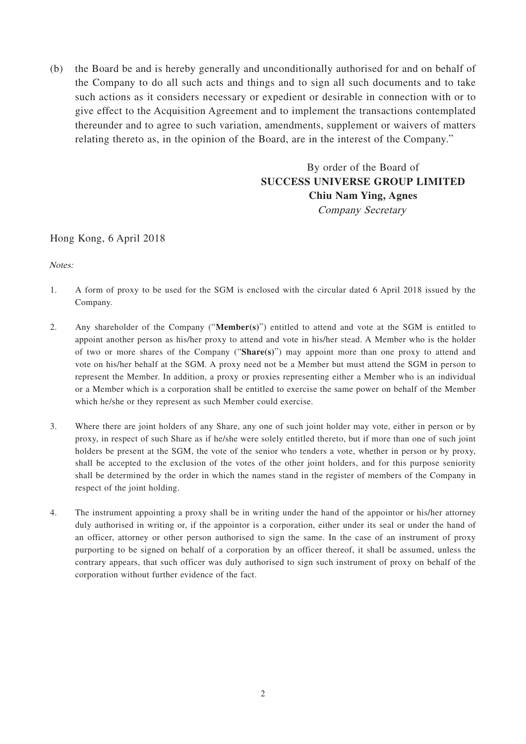(b) the Board be and is hereby generally and unconditionally authorised for and on behalf of the Company to do all such acts and things and to sign all such documents and to take such actions as it considers necessary or expedient or desirable in connection with or to give effect to the Acquisition Agreement and to implement the transactions contemplated thereunder and to agree to such variation, amendments, supplement or waivers of matters relating thereto as, in the opinion of the Board, are in the interest of the Company."

> By order of the Board of **SUCCESS UNIVERSE GROUP LIMITED Chiu Nam Ying, Agnes** Company Secretary

#### Hong Kong, 6 April 2018

Notes:

- 1. A form of proxy to be used for the SGM is enclosed with the circular dated 6 April 2018 issued by the Company.
- 2. Any shareholder of the Company ("**Member(s)**") entitled to attend and vote at the SGM is entitled to appoint another person as his/her proxy to attend and vote in his/her stead. A Member who is the holder of two or more shares of the Company ("**Share(s)**") may appoint more than one proxy to attend and vote on his/her behalf at the SGM. A proxy need not be a Member but must attend the SGM in person to represent the Member. In addition, a proxy or proxies representing either a Member who is an individual or a Member which is a corporation shall be entitled to exercise the same power on behalf of the Member which he/she or they represent as such Member could exercise.
- 3. Where there are joint holders of any Share, any one of such joint holder may vote, either in person or by proxy, in respect of such Share as if he/she were solely entitled thereto, but if more than one of such joint holders be present at the SGM, the vote of the senior who tenders a vote, whether in person or by proxy, shall be accepted to the exclusion of the votes of the other joint holders, and for this purpose seniority shall be determined by the order in which the names stand in the register of members of the Company in respect of the joint holding.
- 4. The instrument appointing a proxy shall be in writing under the hand of the appointor or his/her attorney duly authorised in writing or, if the appointor is a corporation, either under its seal or under the hand of an officer, attorney or other person authorised to sign the same. In the case of an instrument of proxy purporting to be signed on behalf of a corporation by an officer thereof, it shall be assumed, unless the contrary appears, that such officer was duly authorised to sign such instrument of proxy on behalf of the corporation without further evidence of the fact.